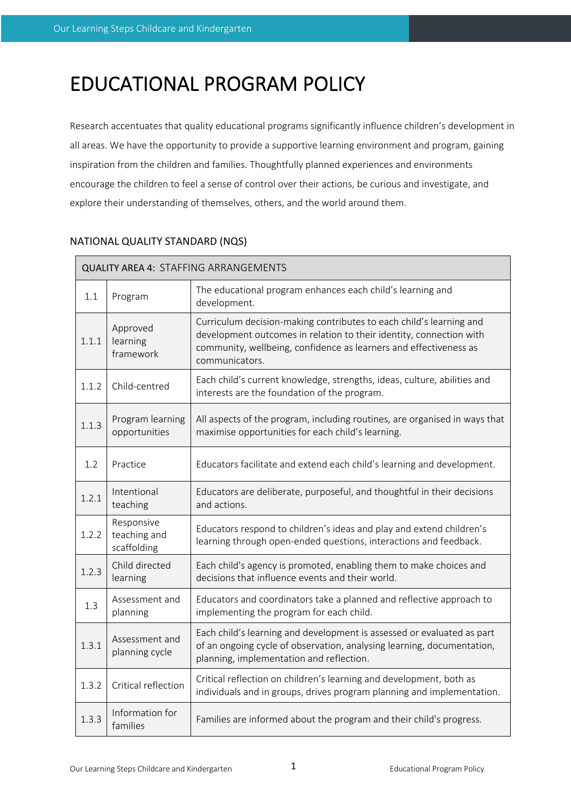# EDUCATIONAL PROGRAM POLICY

Research accentuates that quality educational programs significantly influence children's development in all areas. We have the opportunity to provide a supportive learning environment and program, gaining inspiration from the children and families. Thoughtfully planned experiences and environments encourage the children to feel a sense of control over their actions, be curious and investigate, and explore their understanding of themselves, others, and the world around them.

| <b>QUALITY AREA 4: STAFFING ARRANGEMENTS</b> |                                           |                                                                                                                                                                                                                                   |  |  |  |
|----------------------------------------------|-------------------------------------------|-----------------------------------------------------------------------------------------------------------------------------------------------------------------------------------------------------------------------------------|--|--|--|
| 1.1                                          | Program                                   | The educational program enhances each child's learning and<br>development.                                                                                                                                                        |  |  |  |
| 1.1.1                                        | Approved<br>learning<br>framework         | Curriculum decision-making contributes to each child's learning and<br>development outcomes in relation to their identity, connection with<br>community, wellbeing, confidence as learners and effectiveness as<br>communicators. |  |  |  |
| 1.1.2                                        | Child-centred                             | Each child's current knowledge, strengths, ideas, culture, abilities and<br>interests are the foundation of the program.                                                                                                          |  |  |  |
| 1.1.3                                        | Program learning<br>opportunities         | All aspects of the program, including routines, are organised in ways that<br>maximise opportunities for each child's learning.                                                                                                   |  |  |  |
| 1.2                                          | Practice                                  | Educators facilitate and extend each child's learning and development.                                                                                                                                                            |  |  |  |
| 1.2.1                                        | Intentional<br>teaching                   | Educators are deliberate, purposeful, and thoughtful in their decisions<br>and actions.                                                                                                                                           |  |  |  |
| 1.2.2                                        | Responsive<br>teaching and<br>scaffolding | Educators respond to children's ideas and play and extend children's<br>learning through open-ended questions, interactions and feedback.                                                                                         |  |  |  |
| 1.2.3                                        | Child directed<br>learning                | Each child's agency is promoted, enabling them to make choices and<br>decisions that influence events and their world.                                                                                                            |  |  |  |
| 1.3                                          | Assessment and<br>planning                | Educators and coordinators take a planned and reflective approach to<br>implementing the program for each child.                                                                                                                  |  |  |  |
| 1.3.1                                        | Assessment and<br>planning cycle          | Each child's learning and development is assessed or evaluated as part<br>of an ongoing cycle of observation, analysing learning, documentation,<br>planning, implementation and reflection.                                      |  |  |  |
| 1.3.2                                        | Critical reflection                       | Critical reflection on children's learning and development, both as<br>individuals and in groups, drives program planning and implementation.                                                                                     |  |  |  |
| 1.3.3                                        | Information for<br>families               | Families are informed about the program and their child's progress.                                                                                                                                                               |  |  |  |

# NATIONAL QUALITY STANDARD (NQS)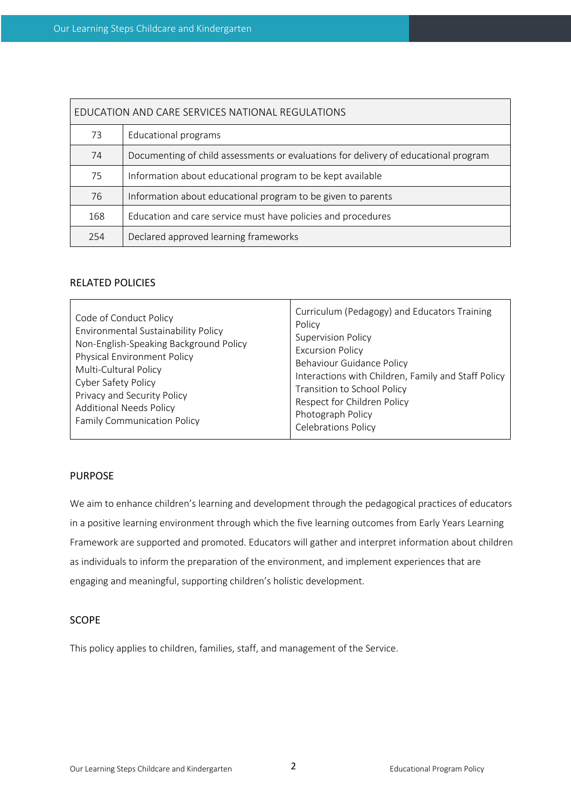| EDUCATION AND CARE SERVICES NATIONAL REGULATIONS |                                                                                     |  |  |  |
|--------------------------------------------------|-------------------------------------------------------------------------------------|--|--|--|
| 73                                               | Educational programs                                                                |  |  |  |
| 74                                               | Documenting of child assessments or evaluations for delivery of educational program |  |  |  |
| 75                                               | Information about educational program to be kept available                          |  |  |  |
| 76                                               | Information about educational program to be given to parents                        |  |  |  |
| 168                                              | Education and care service must have policies and procedures                        |  |  |  |
| 254                                              | Declared approved learning frameworks                                               |  |  |  |

#### RELATED POLICIES

### PURPOSE

We aim to enhance children's learning and development through the pedagogical practices of educators in a positive learning environment through which the five learning outcomes from Early Years Learning Framework are supported and promoted. Educators will gather and interpret information about children as individuals to inform the preparation of the environment, and implement experiences that are engaging and meaningful, supporting children's holistic development.

## SCOPE

This policy applies to children, families, staff, and management of the Service.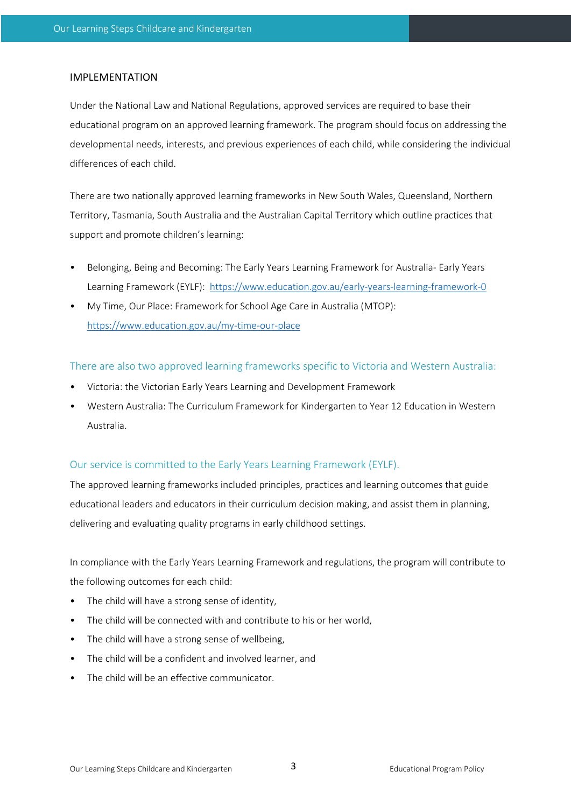#### IMPLEMENTATION

Under the National Law and National Regulations, approved services are required to base their educational program on an approved learning framework. The program should focus on addressing the developmental needs, interests, and previous experiences of each child, while considering the individual differences of each child.

There are two nationally approved learning frameworks in New South Wales, Queensland, Northern Territory, Tasmania, South Australia and the Australian Capital Territory which outline practices that support and promote children's learning:

- Belonging, Being and Becoming: The Early Years Learning Framework for Australia- Early Years Learning Framework (EYLF): https://www.education.gov.au/early-years-learning-framework-0
- My Time, Our Place: Framework for School Age Care in Australia (MTOP): https://www.education.gov.au/my-time-our-place

There are also two approved learning frameworks specific to Victoria and Western Australia:

- Victoria: the Victorian Early Years Learning and Development Framework
- Western Australia: The Curriculum Framework for Kindergarten to Year 12 Education in Western Australia.

### Our service is committed to the Early Years Learning Framework (EYLF).

The approved learning frameworks included principles, practices and learning outcomes that guide educational leaders and educators in their curriculum decision making, and assist them in planning, delivering and evaluating quality programs in early childhood settings.

In compliance with the Early Years Learning Framework and regulations, the program will contribute to the following outcomes for each child:

- The child will have a strong sense of identity,
- The child will be connected with and contribute to his or her world,
- The child will have a strong sense of wellbeing,
- The child will be a confident and involved learner, and
- The child will be an effective communicator.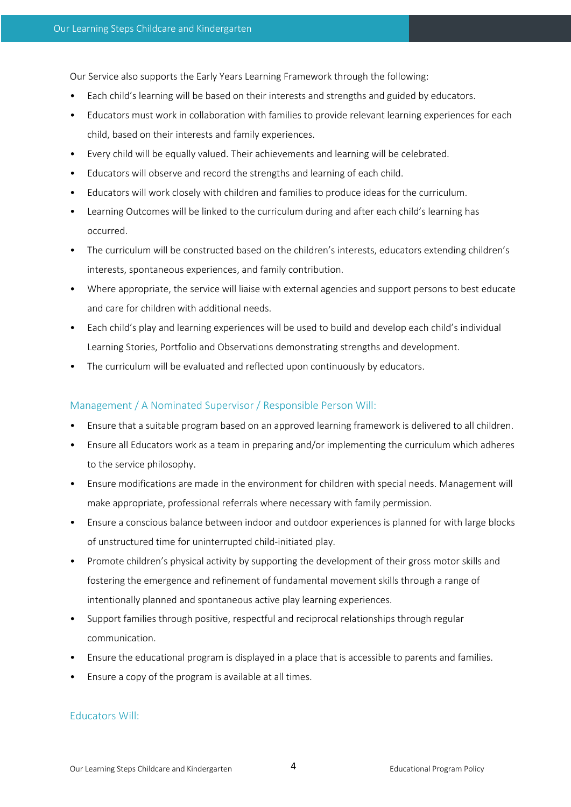Our Service also supports the Early Years Learning Framework through the following:

- Each child's learning will be based on their interests and strengths and guided by educators.
- Educators must work in collaboration with families to provide relevant learning experiences for each child, based on their interests and family experiences.
- Every child will be equally valued. Their achievements and learning will be celebrated.
- Educators will observe and record the strengths and learning of each child.
- Educators will work closely with children and families to produce ideas for the curriculum.
- Learning Outcomes will be linked to the curriculum during and after each child's learning has occurred.
- The curriculum will be constructed based on the children's interests, educators extending children's interests, spontaneous experiences, and family contribution.
- Where appropriate, the service will liaise with external agencies and support persons to best educate and care for children with additional needs.
- Each child's play and learning experiences will be used to build and develop each child's individual Learning Stories, Portfolio and Observations demonstrating strengths and development.
- The curriculum will be evaluated and reflected upon continuously by educators.

# Management / A Nominated Supervisor / Responsible Person Will:

- Ensure that a suitable program based on an approved learning framework is delivered to all children.
- Ensure all Educators work as a team in preparing and/or implementing the curriculum which adheres to the service philosophy.
- Ensure modifications are made in the environment for children with special needs. Management will make appropriate, professional referrals where necessary with family permission.
- Ensure a conscious balance between indoor and outdoor experiences is planned for with large blocks of unstructured time for uninterrupted child-initiated play.
- Promote children's physical activity by supporting the development of their gross motor skills and fostering the emergence and refinement of fundamental movement skills through a range of intentionally planned and spontaneous active play learning experiences.
- Support families through positive, respectful and reciprocal relationships through regular communication.
- Ensure the educational program is displayed in a place that is accessible to parents and families.
- Ensure a copy of the program is available at all times.

# Educators Will: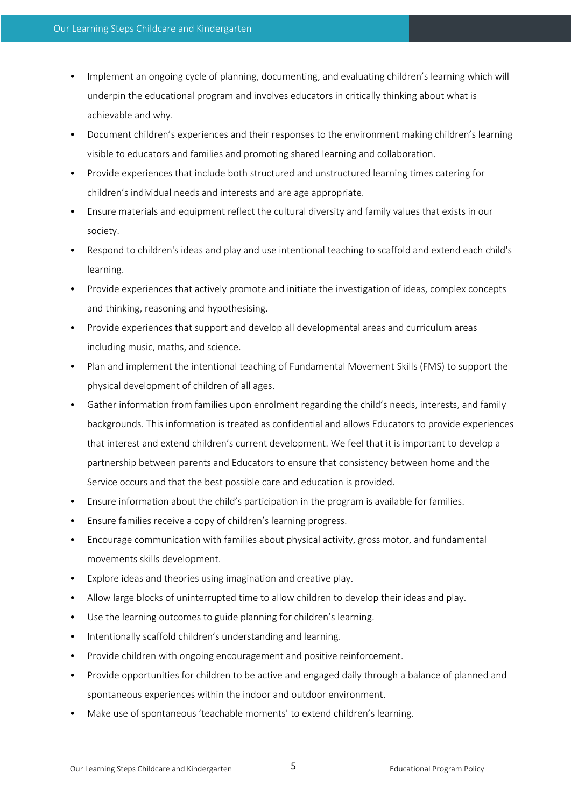- Implement an ongoing cycle of planning, documenting, and evaluating children's learning which will underpin the educational program and involves educators in critically thinking about what is achievable and why.
- Document children's experiences and their responses to the environment making children's learning visible to educators and families and promoting shared learning and collaboration.
- Provide experiences that include both structured and unstructured learning times catering for children's individual needs and interests and are age appropriate.
- Ensure materials and equipment reflect the cultural diversity and family values that exists in our society.
- Respond to children's ideas and play and use intentional teaching to scaffold and extend each child's learning.
- Provide experiences that actively promote and initiate the investigation of ideas, complex concepts and thinking, reasoning and hypothesising.
- Provide experiences that support and develop all developmental areas and curriculum areas including music, maths, and science.
- Plan and implement the intentional teaching of Fundamental Movement Skills (FMS) to support the physical development of children of all ages.
- Gather information from families upon enrolment regarding the child's needs, interests, and family backgrounds. This information is treated as confidential and allows Educators to provide experiences that interest and extend children's current development. We feel that it is important to develop a partnership between parents and Educators to ensure that consistency between home and the Service occurs and that the best possible care and education is provided.
- Ensure information about the child's participation in the program is available for families.
- Ensure families receive a copy of children's learning progress.
- Encourage communication with families about physical activity, gross motor, and fundamental movements skills development.
- Explore ideas and theories using imagination and creative play.
- Allow large blocks of uninterrupted time to allow children to develop their ideas and play.
- Use the learning outcomes to guide planning for children's learning.
- Intentionally scaffold children's understanding and learning.
- Provide children with ongoing encouragement and positive reinforcement.
- Provide opportunities for children to be active and engaged daily through a balance of planned and spontaneous experiences within the indoor and outdoor environment.
- Make use of spontaneous 'teachable moments' to extend children's learning.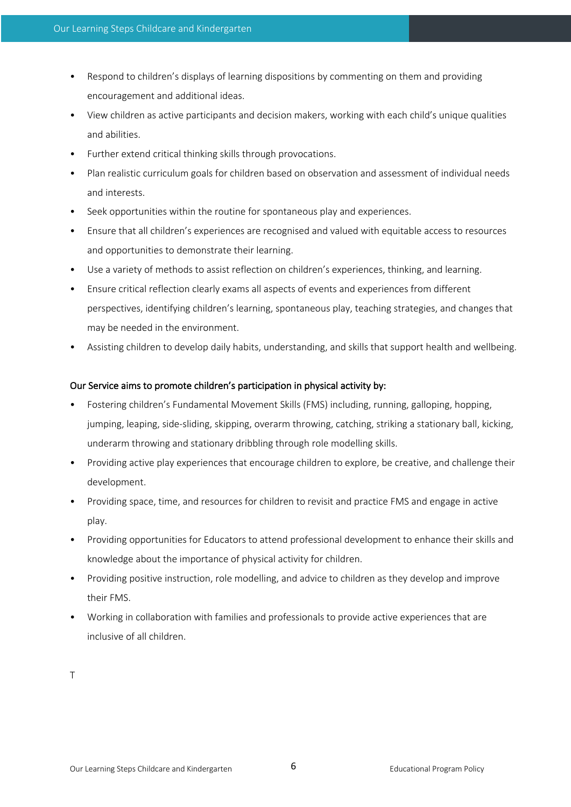- Respond to children's displays of learning dispositions by commenting on them and providing encouragement and additional ideas.
- View children as active participants and decision makers, working with each child's unique qualities and abilities.
- Further extend critical thinking skills through provocations.
- Plan realistic curriculum goals for children based on observation and assessment of individual needs and interests.
- Seek opportunities within the routine for spontaneous play and experiences.
- Ensure that all children's experiences are recognised and valued with equitable access to resources and opportunities to demonstrate their learning.
- Use a variety of methods to assist reflection on children's experiences, thinking, and learning.
- Ensure critical reflection clearly exams all aspects of events and experiences from different perspectives, identifying children's learning, spontaneous play, teaching strategies, and changes that may be needed in the environment.
- Assisting children to develop daily habits, understanding, and skills that support health and wellbeing.

### Our Service aims to promote children's participation in physical activity by:

- Fostering children's Fundamental Movement Skills (FMS) including, running, galloping, hopping, jumping, leaping, side-sliding, skipping, overarm throwing, catching, striking a stationary ball, kicking, underarm throwing and stationary dribbling through role modelling skills.
- Providing active play experiences that encourage children to explore, be creative, and challenge their development.
- Providing space, time, and resources for children to revisit and practice FMS and engage in active play.
- Providing opportunities for Educators to attend professional development to enhance their skills and knowledge about the importance of physical activity for children.
- Providing positive instruction, role modelling, and advice to children as they develop and improve their FMS.
- Working in collaboration with families and professionals to provide active experiences that are inclusive of all children.

T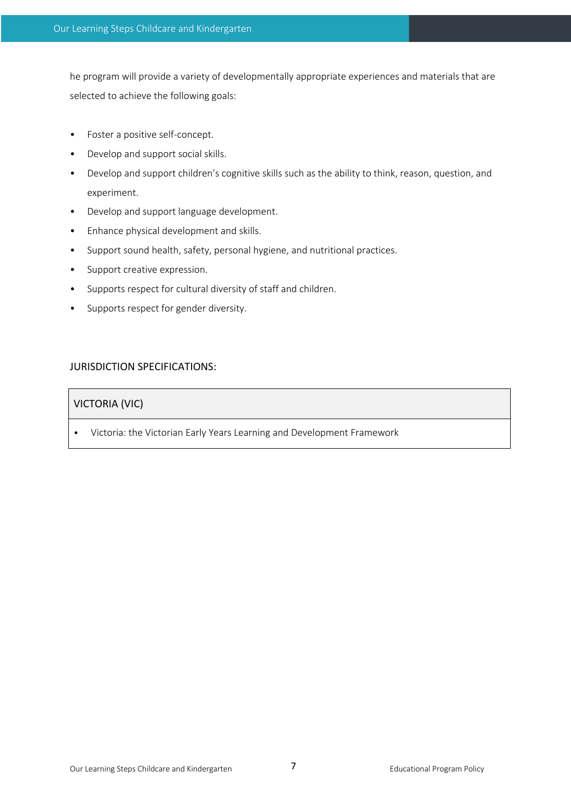he program will provide a variety of developmentally appropriate experiences and materials that are selected to achieve the following goals:

- Foster a positive self-concept.
- Develop and support social skills.
- Develop and support children's cognitive skills such as the ability to think, reason, question, and experiment.
- Develop and support language development.
- Enhance physical development and skills.
- Support sound health, safety, personal hygiene, and nutritional practices.
- Support creative expression.
- Supports respect for cultural diversity of staff and children.
- Supports respect for gender diversity.

## JURISDICTION SPECIFICATIONS:

# VICTORIA (VIC)

• Victoria: the Victorian Early Years Learning and Development Framework